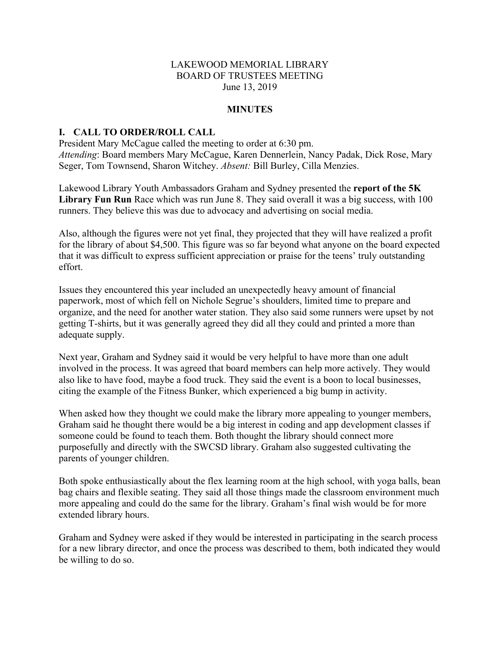#### LAKEWOOD MEMORIAL LIBRARY BOARD OF TRUSTEES MEETING June 13, 2019

#### **MINUTES**

#### **I. CALL TO ORDER/ROLL CALL**

President Mary McCague called the meeting to order at 6:30 pm. *Attending*: Board members Mary McCague, Karen Dennerlein, Nancy Padak, Dick Rose, Mary Seger, Tom Townsend, Sharon Witchey. *Absent:* Bill Burley, Cilla Menzies.

Lakewood Library Youth Ambassadors Graham and Sydney presented the **report of the 5K**  Library Fun Run Race which was run June 8. They said overall it was a big success, with 100 runners. They believe this was due to advocacy and advertising on social media.

Also, although the figures were not yet final, they projected that they will have realized a profit for the library of about \$4,500. This figure was so far beyond what anyone on the board expected that it was difficult to express sufficient appreciation or praise for the teens' truly outstanding effort.

Issues they encountered this year included an unexpectedly heavy amount of financial paperwork, most of which fell on Nichole Segrue's shoulders, limited time to prepare and organize, and the need for another water station. They also said some runners were upset by not getting T-shirts, but it was generally agreed they did all they could and printed a more than adequate supply.

Next year, Graham and Sydney said it would be very helpful to have more than one adult involved in the process. It was agreed that board members can help more actively. They would also like to have food, maybe a food truck. They said the event is a boon to local businesses, citing the example of the Fitness Bunker, which experienced a big bump in activity.

When asked how they thought we could make the library more appealing to younger members, Graham said he thought there would be a big interest in coding and app development classes if someone could be found to teach them. Both thought the library should connect more purposefully and directly with the SWCSD library. Graham also suggested cultivating the parents of younger children.

Both spoke enthusiastically about the flex learning room at the high school, with yoga balls, bean bag chairs and flexible seating. They said all those things made the classroom environment much more appealing and could do the same for the library. Graham's final wish would be for more extended library hours.

Graham and Sydney were asked if they would be interested in participating in the search process for a new library director, and once the process was described to them, both indicated they would be willing to do so.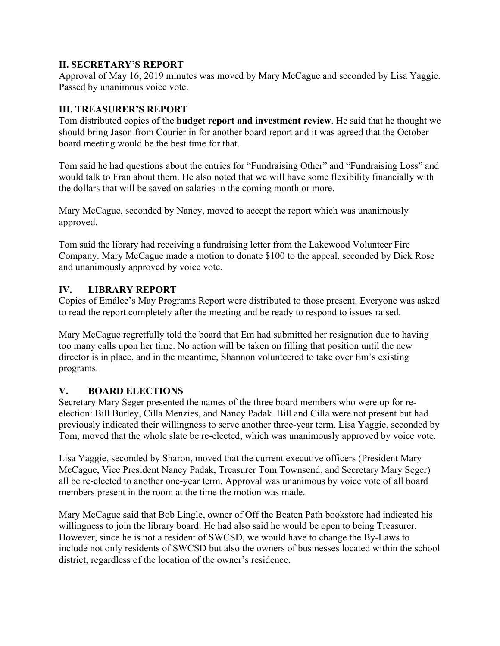# **II. SECRETARY'S REPORT**

Approval of May 16, 2019 minutes was moved by Mary McCague and seconded by Lisa Yaggie. Passed by unanimous voice vote.

# **III. TREASURER'S REPORT**

Tom distributed copies of the **budget report and investment review**. He said that he thought we should bring Jason from Courier in for another board report and it was agreed that the October board meeting would be the best time for that.

Tom said he had questions about the entries for "Fundraising Other" and "Fundraising Loss" and would talk to Fran about them. He also noted that we will have some flexibility financially with the dollars that will be saved on salaries in the coming month or more.

Mary McCague, seconded by Nancy, moved to accept the report which was unanimously approved.

Tom said the library had receiving a fundraising letter from the Lakewood Volunteer Fire Company. Mary McCague made a motion to donate \$100 to the appeal, seconded by Dick Rose and unanimously approved by voice vote.

# **IV. LIBRARY REPORT**

Copies of Emálee's May Programs Report were distributed to those present. Everyone was asked to read the report completely after the meeting and be ready to respond to issues raised.

Mary McCague regretfully told the board that Em had submitted her resignation due to having too many calls upon her time. No action will be taken on filling that position until the new director is in place, and in the meantime, Shannon volunteered to take over Em's existing programs.

# **V. BOARD ELECTIONS**

Secretary Mary Seger presented the names of the three board members who were up for reelection: Bill Burley, Cilla Menzies, and Nancy Padak. Bill and Cilla were not present but had previously indicated their willingness to serve another three-year term. Lisa Yaggie, seconded by Tom, moved that the whole slate be re-elected, which was unanimously approved by voice vote.

Lisa Yaggie, seconded by Sharon, moved that the current executive officers (President Mary McCague, Vice President Nancy Padak, Treasurer Tom Townsend, and Secretary Mary Seger) all be re-elected to another one-year term. Approval was unanimous by voice vote of all board members present in the room at the time the motion was made.

Mary McCague said that Bob Lingle, owner of Off the Beaten Path bookstore had indicated his willingness to join the library board. He had also said he would be open to being Treasurer. However, since he is not a resident of SWCSD, we would have to change the By-Laws to include not only residents of SWCSD but also the owners of businesses located within the school district, regardless of the location of the owner's residence.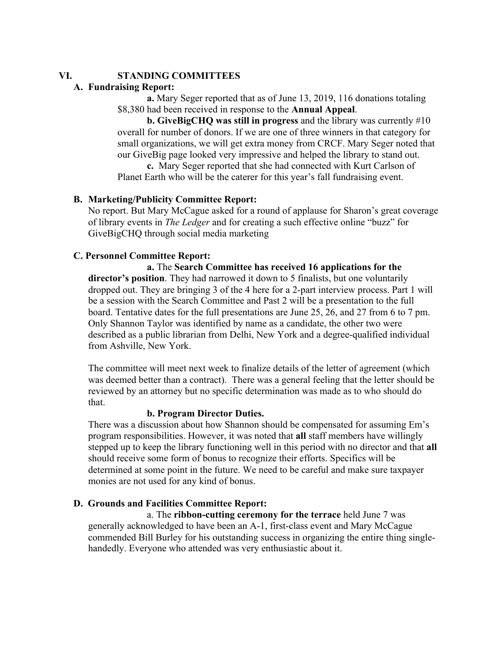# **VI. STANDING COMMITTEES**

# **A. Fundraising Report:**

**a.** Mary Seger reported that as of June 13, 2019, 116 donations totaling \$8,380 had been received in response to the **Annual Appeal**.

**b. GiveBigCHQ was still in progress** and the library was currently #10 overall for number of donors. If we are one of three winners in that category for small organizations, we will get extra money from CRCF. Mary Seger noted that our GiveBig page looked very impressive and helped the library to stand out.

**c.** Mary Seger reported that she had connected with Kurt Carlson of Planet Earth who will be the caterer for this year's fall fundraising event.

# **B. Marketing/Publicity Committee Report:**

No report. But Mary McCague asked for a round of applause for Sharon's great coverage of library events in *The Ledger* and for creating a such effective online "buzz" for GiveBigCHQ through social media marketing

# **C. Personnel Committee Report:**

**a.** The **Search Committee has received 16 applications for the director's position**. They had narrowed it down to 5 finalists, but one voluntarily dropped out. They are bringing 3 of the 4 here for a 2-part interview process. Part 1 will be a session with the Search Committee and Past 2 will be a presentation to the full board. Tentative dates for the full presentations are June 25, 26, and 27 from 6 to 7 pm. Only Shannon Taylor was identified by name as a candidate, the other two were described as a public librarian from Delhi, New York and a degree-qualified individual from Ashville, New York.

The committee will meet next week to finalize details of the letter of agreement (which was deemed better than a contract). There was a general feeling that the letter should be reviewed by an attorney but no specific determination was made as to who should do that.

#### **b. Program Director Duties.**

There was a discussion about how Shannon should be compensated for assuming Em's program responsibilities. However, it was noted that **all** staff members have willingly stepped up to keep the library functioning well in this period with no director and that **all** should receive some form of bonus to recognize their efforts. Specifics will be determined at some point in the future. We need to be careful and make sure taxpayer monies are not used for any kind of bonus.

# **D. Grounds and Facilities Committee Report:**

a. The **ribbon-cutting ceremony for the terrace** held June 7 was generally acknowledged to have been an A-1, first-class event and Mary McCague commended Bill Burley for his outstanding success in organizing the entire thing singlehandedly. Everyone who attended was very enthusiastic about it.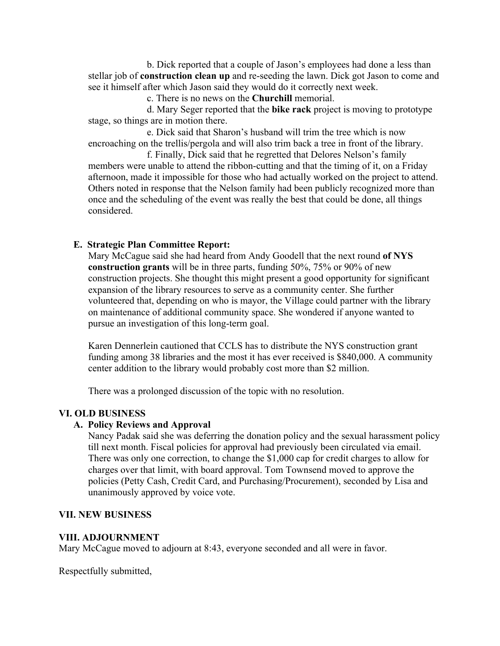b. Dick reported that a couple of Jason's employees had done a less than stellar job of **construction clean up** and re-seeding the lawn. Dick got Jason to come and see it himself after which Jason said they would do it correctly next week.

c. There is no news on the **Churchill** memorial.

d. Mary Seger reported that the **bike rack** project is moving to prototype stage, so things are in motion there.

e. Dick said that Sharon's husband will trim the tree which is now encroaching on the trellis/pergola and will also trim back a tree in front of the library.

f. Finally, Dick said that he regretted that Delores Nelson's family members were unable to attend the ribbon-cutting and that the timing of it, on a Friday afternoon, made it impossible for those who had actually worked on the project to attend. Others noted in response that the Nelson family had been publicly recognized more than once and the scheduling of the event was really the best that could be done, all things considered.

# **E. Strategic Plan Committee Report:**

Mary McCague said she had heard from Andy Goodell that the next round **of NYS construction grants** will be in three parts, funding 50%, 75% or 90% of new construction projects. She thought this might present a good opportunity for significant expansion of the library resources to serve as a community center. She further volunteered that, depending on who is mayor, the Village could partner with the library on maintenance of additional community space. She wondered if anyone wanted to pursue an investigation of this long-term goal.

Karen Dennerlein cautioned that CCLS has to distribute the NYS construction grant funding among 38 libraries and the most it has ever received is \$840,000. A community center addition to the library would probably cost more than \$2 million.

There was a prolonged discussion of the topic with no resolution.

# **VI. OLD BUSINESS**

# **A. Policy Reviews and Approval**

Nancy Padak said she was deferring the donation policy and the sexual harassment policy till next month. Fiscal policies for approval had previously been circulated via email. There was only one correction, to change the \$1,000 cap for credit charges to allow for charges over that limit, with board approval. Tom Townsend moved to approve the policies (Petty Cash, Credit Card, and Purchasing/Procurement), seconded by Lisa and unanimously approved by voice vote.

# **VII. NEW BUSINESS**

# **VIII. ADJOURNMENT**

Mary McCague moved to adjourn at 8:43, everyone seconded and all were in favor.

Respectfully submitted,